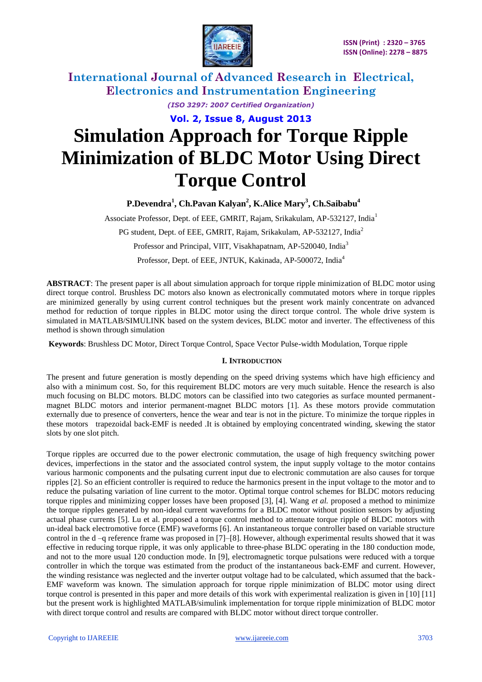

*(ISO 3297: 2007 Certified Organization)*

**Vol. 2, Issue 8, August 2013**

# **Simulation Approach for Torque Ripple Minimization of BLDC Motor Using Direct Torque Control**

**P.Devendra<sup>1</sup> , Ch.Pavan Kalyan<sup>2</sup> , K.Alice Mary<sup>3</sup> , Ch.Saibabu<sup>4</sup>**

Associate Professor, Dept. of EEE, GMRIT, Rajam, Srikakulam, AP-532127, India<sup>1</sup>

PG student, Dept. of EEE, GMRIT, Rajam, Srikakulam, AP-532127, India<sup>2</sup>

Professor and Principal, VIIT, Visakhapatnam, AP-520040, India<sup>3</sup>

Professor, Dept. of EEE, JNTUK, Kakinada, AP-500072, India<sup>4</sup>

**ABSTRACT**: The present paper is all about simulation approach for torque ripple minimization of BLDC motor using direct torque control. Brushless DC motors also known as electronically commutated motors where in torque ripples are minimized generally by using current control techniques but the present work mainly concentrate on advanced method for reduction of torque ripples in BLDC motor using the direct torque control. The whole drive system is simulated in MATLAB/SIMULINK based on the system devices, BLDC motor and inverter. The effectiveness of this method is shown through simulation

**Keywords**: Brushless DC Motor, Direct Torque Control, Space Vector Pulse-width Modulation, Torque ripple

### **I. INTRODUCTION**

The present and future generation is mostly depending on the speed driving systems which have high efficiency and also with a minimum cost. So, for this requirement BLDC motors are very much suitable. Hence the research is also much focusing on BLDC motors. BLDC motors can be classified into two categories as surface mounted permanentmagnet BLDC motors and interior permanent-magnet BLDC motors [1]. As these motors provide commutation externally due to presence of converters, hence the wear and tear is not in the picture. To minimize the torque ripples in these motors trapezoidal back-EMF is needed .It is obtained by employing concentrated winding, skewing the stator slots by one slot pitch.

Torque ripples are occurred due to the power electronic commutation, the usage of high frequency switching power devices, imperfections in the stator and the associated control system, the input supply voltage to the motor contains various harmonic components and the pulsating current input due to electronic commutation are also causes for torque ripples [2]. So an efficient controller is required to reduce the harmonics present in the input voltage to the motor and to reduce the pulsating variation of line current to the motor. Optimal torque control schemes for BLDC motors reducing torque ripples and minimizing copper losses have been proposed [3], [4]. Wang *et al.* proposed a method to minimize the torque ripples generated by non-ideal current waveforms for a BLDC motor without position sensors by adjusting actual phase currents [5]. Lu et al. proposed a torque control method to attenuate torque ripple of BLDC motors with un-ideal back electromotive force (EMF) waveforms [6]. An instantaneous torque controller based on variable structure control in the d –q reference frame was proposed in [7]–[8]. However, although experimental results showed that it was effective in reducing torque ripple, it was only applicable to three-phase BLDC operating in the 180 conduction mode, and not to the more usual 120 conduction mode. In [9], electromagnetic torque pulsations were reduced with a torque controller in which the torque was estimated from the product of the instantaneous back-EMF and current. However, the winding resistance was neglected and the inverter output voltage had to be calculated, which assumed that the back-EMF waveform was known. The simulation approach for torque ripple minimization of BLDC motor using direct torque control is presented in this paper and more details of this work with experimental realization is given in [10] [11] but the present work is highlighted MATLAB/simulink implementation for torque ripple minimization of BLDC motor with direct torque control and results are compared with BLDC motor without direct torque controller.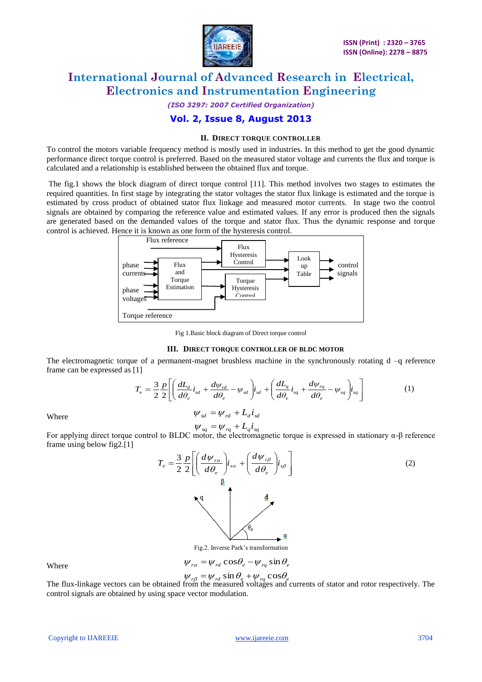

*(ISO 3297: 2007 Certified Organization)*

### **Vol. 2, Issue 8, August 2013**

#### **II. DIRECT TORQUE CONTROLLER**

To control the motors variable frequency method is mostly used in industries. In this method to get the good dynamic performance direct torque control is preferred. Based on the measured stator voltage and currents the flux and torque is calculated and a relationship is established between the obtained flux and torque.

The fig.1 shows the block diagram of direct torque control [11]. This method involves two stages to estimates the required quantities. In first stage by integrating the stator voltages the stator flux linkage is estimated and the torque is estimated by cross product of obtained stator flux linkage and measured motor currents. In stage two the control signals are obtained by comparing the reference value and estimated values. If any error is produced then the signals are generated based on the demanded values of the torque and stator flux. Thus the dynamic response and torque control is achieved. Hence it is known as one form of the hysteresis control.



Fig 1.Basic block diagram of Direct torque control

#### **III. DIRECT TORQUE CONTROLLER OF BLDC MOTOR**

The electromagnetic torque of a permanent-magnet brushless machine in the synchronously rotating d –q reference frame can be expressed as [1]

$$
T_{\rm e} = \frac{3}{2} \frac{p}{2} \left[ \left( \frac{dL_d}{d\theta_e} i_{sd} + \frac{d\psi_{rd}}{d\theta_e} - \psi_{sd} \right) i_{sd} + \left( \frac{dL_q}{d\theta_e} i_{sq} + \frac{d\psi_{rq}}{d\theta_e} - \psi_{sq} \right) i_{sq} \right]
$$
(1)

Where

 $\psi_{sd} = \psi_{rd} + L_d i_{sd}$ 

*v*<sub>sq</sub> =  $\psi_{sq}$  +  $L_q i_{sq}$ <br>For applying direct torque control to BLDC motor, the electromagnetic torque is expressed in stationary α-β reference frame using below fig2.[1]



Fig.2. Inverse Park's transformation

 $\psi_{ra} = \psi_{rd} \cos \theta_e - \psi_{rq} \sin \theta_e$ 

Where

$$
\nu_{r\beta} = \psi_{rd} \sin \theta_e + \psi_{ra} \cos \theta_e
$$

 $\psi_{r\beta} = \psi_{rd} \sin \theta_e + \psi_{rq} \cos \theta_e$ <br>The flux-linkage vectors can be obtained from the measured voltages and currents of stator and rotor respectively. The control signals are obtained by using space vector modulation.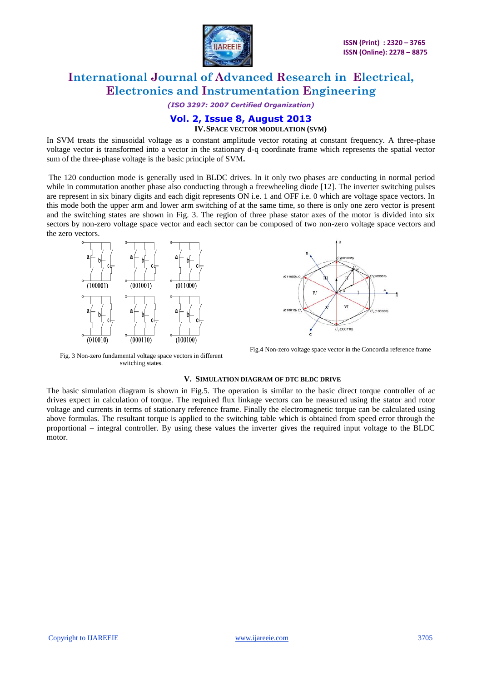

*(ISO 3297: 2007 Certified Organization)*

### **Vol. 2, Issue 8, August 2013 IV.SPACE VECTOR MODULATION (SVM)**

In SVM treats the sinusoidal voltage as a constant amplitude vector rotating at constant frequency. A three-phase voltage vector is transformed into a vector in the stationary d-q coordinate frame which represents the spatial vector sum of the three-phase voltage is the basic principle of SVM**.**

The 120 conduction mode is generally used in BLDC drives. In it only two phases are conducting in normal period while in commutation another phase also conducting through a freewheeling diode [12]. The inverter switching pulses are represent in six binary digits and each digit represents ON i.e. 1 and OFF i.e. 0 which are voltage space vectors. In this mode both the upper arm and lower arm switching of at the same time, so there is only one zero vector is present and the switching states are shown in Fig. 3. The region of three phase stator axes of the motor is divided into six sectors by non-zero voltage space vector and each sector can be composed of two non-zero voltage space vectors and the zero vectors.





Fig.4 Non-zero voltage space vector in the Concordia reference frame

Fig. 3 Non-zero fundamental voltage space vectors in different switching states.

#### **V. SIMULATION DIAGRAM OF DTC BLDC DRIVE**

The basic simulation diagram is shown in Fig.5. The operation is similar to the basic direct torque controller of ac drives expect in calculation of torque. The required flux linkage vectors can be measured using the stator and rotor voltage and currents in terms of stationary reference frame. Finally the electromagnetic torque can be calculated using above formulas. The resultant torque is applied to the switching table which is obtained from speed error through the proportional – integral controller. By using these values the inverter gives the required input voltage to the BLDC motor.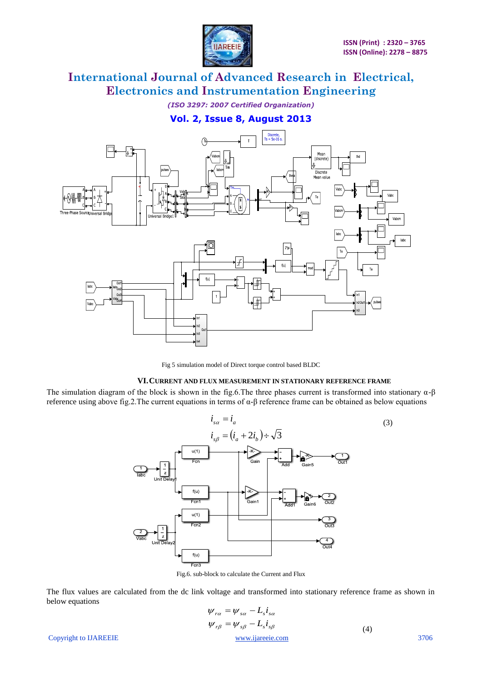

*(ISO 3297: 2007 Certified Organization)*

# **Vol. 2, Issue 8, August 2013**



Fig 5 simulation model of Direct torque control based BLDC

### **VI.CURRENT AND FLUX MEASUREMENT IN STATIONARY REFERENCE FRAME**

The simulation diagram of the block is shown in the fig.6. The three phases current is transformed into stationary  $\alpha$ - $\beta$ reference using above fig.2. The current equations in terms of  $\alpha$ -β reference frame can be obtained as below equations



Fig.6. sub-block to calculate the Current and Flux

The flux values are calculated from the dc link voltage and transformed into stationary reference frame as shown in below equations

$$
\psi_{r\alpha} = \psi_{s\alpha} - L_s i_{s\alpha}
$$
\n
$$
\psi_{r\beta} = \psi_{s\beta} - L_s i_{s\beta}
$$
\nCopyright to IJAREEIE

\n3706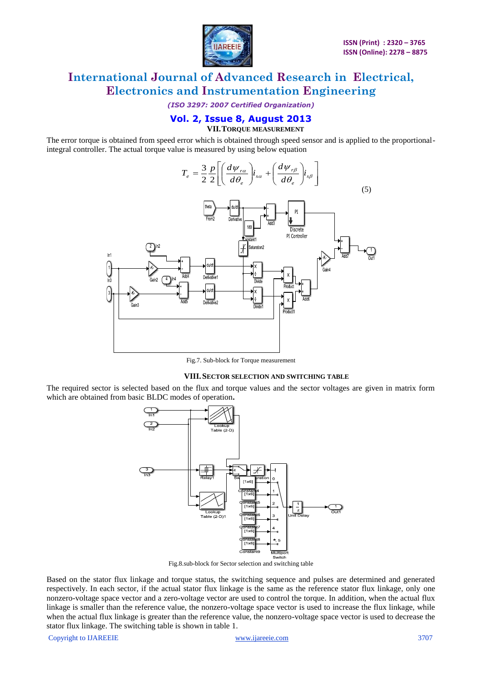

*(ISO 3297: 2007 Certified Organization)*

### **Vol. 2, Issue 8, August 2013 VII.TORQUE MEASUREMENT**

The error torque is obtained from speed error which is obtained through speed sensor and is applied to the proportionalintegral controller. The actual torque value is measured by using below equation



Fig.7. Sub-block for Torque measurement

### **VIII.SECTOR SELECTION AND SWITCHING TABLE**

The required sector is selected based on the flux and torque values and the sector voltages are given in matrix form which are obtained from basic BLDC modes of operation**.**



Fig.8.sub-block for Sector selection and switching table

Based on the stator flux linkage and torque status, the switching sequence and pulses are determined and generated respectively. In each sector, if the actual stator flux linkage is the same as the reference stator flux linkage, only one nonzero-voltage space vector and a zero-voltage vector are used to control the torque. In addition, when the actual flux linkage is smaller than the reference value, the nonzero-voltage space vector is used to increase the flux linkage, while when the actual flux linkage is greater than the reference value, the nonzero-voltage space vector is used to decrease the stator flux linkage. The switching table is shown in table 1.

Copyright to IJAREEIE [www.ijareeie.com](http://www.ijareeie.com/) 3707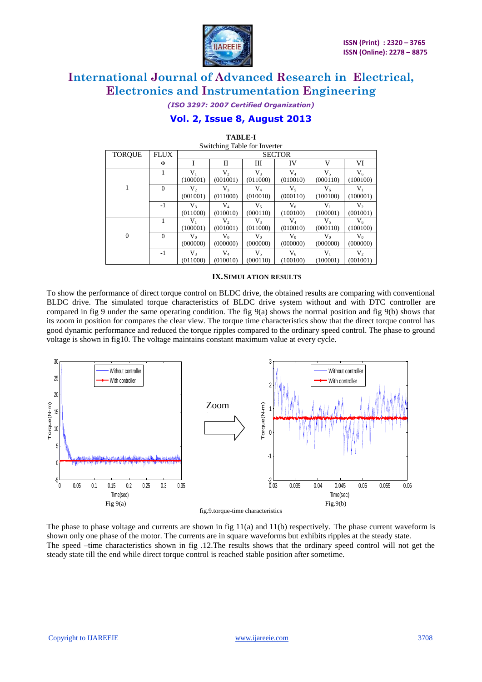

*(ISO 3297: 2007 Certified Organization)*

# **Vol. 2, Issue 8, August 2013**

| Switching Table for Inverter |                |                |                |           |           |          |                |  |
|------------------------------|----------------|----------------|----------------|-----------|-----------|----------|----------------|--|
| <b>TORQUE</b>                | <b>FLUX</b>    | <b>SECTOR</b>  |                |           |           |          |                |  |
|                              | Φ              |                | H              | Ш         | IV        | V        | VI             |  |
|                              |                | $V_{1}$        | V,             | $V_{3}$   | $\rm V_4$ | $V_{5}$  | $V_6$          |  |
|                              |                | (100001)       | (001001)       | (011000)  | (010010)  | (000110) | (100100)       |  |
| 1                            | $\overline{0}$ | $V_2$          | V <sub>3</sub> | $\rm V_4$ | V,        | $V_6$    | $V_1$          |  |
|                              |                | (001001)       | (011000)       | (010010)  | (000110)  | (100100) | (100001)       |  |
|                              | $-1$           | V3             | $\rm V_4$      | $V_5$     | $V_6$     | $V_1$    | V <sub>2</sub> |  |
|                              |                | (011000)       | (010010)       | (000110)  | (100100)  | (100001) | (001001)       |  |
|                              |                | $V_1$          | V,             | $V_3$     | $\rm V_4$ | V٢       | $V_6$          |  |
|                              |                | (100001)       | (001001)       | (011000)  | (010010)  | (000110) | (100100)       |  |
| $\overline{0}$               | $\Omega$       | $V_0$          | $V_0$          | V0        | $V_0$     | $V_0$    | $V_0$          |  |
|                              |                | (000000)       | (000000)       | (000000)  | (000000)  | (000000) | (000000)       |  |
|                              | -1             | V <sub>3</sub> | $\rm V_4$      | $V_5$     | $V_6$     | $V_{1}$  | V,             |  |
|                              |                | (011000)       | (010010)       | (000110)  | (100100)  | (100001) | (001001)       |  |

**TABLE-I** Switching Table for Inverter

### **IX.SIMULATION RESULTS**

To show the performance of direct torque control on BLDC drive, the obtained results are comparing with conventional BLDC drive. The simulated torque characteristics of BLDC drive system without and with DTC controller are compared in fig 9 under the same operating condition. The fig 9(a) shows the normal position and fig 9(b) shows that its zoom in position for compares the clear view. The torque time characteristics show that the direct torque control has good dynamic performance and reduced the torque ripples compared to the ordinary speed control. The phase to ground voltage is shown in fig10. The voltage maintains constant maximum value at every cycle.



The phase to phase voltage and currents are shown in fig  $11(a)$  and  $11(b)$  respectively. The phase current waveform is shown only one phase of the motor. The currents are in square waveforms but exhibits ripples at the steady state. The speed –time characteristics shown in fig .12.The results shows that the ordinary speed control will not get the steady state till the end while direct torque control is reached stable position after sometime.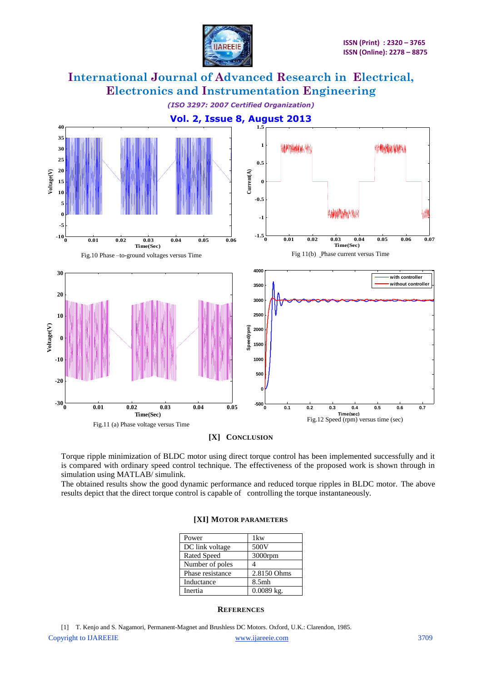

*(ISO 3297: 2007 Certified Organization)*



**[X] CONCLUSION**

Torque ripple minimization of BLDC motor using direct torque control has been implemented successfully and it is compared with ordinary speed control technique. The effectiveness of the proposed work is shown through in simulation using MATLAB/ simulink.

The obtained results show the good dynamic performance and reduced torque ripples in BLDC motor. The above results depict that the direct torque control is capable of controlling the torque instantaneously.

| Power            | 1kw          |
|------------------|--------------|
| DC link voltage  | 500V         |
| Rated Speed      | 3000rpm      |
| Number of poles  |              |
| Phase resistance | 2.8150 Ohms  |
| Inductance       | 8.5mh        |
| Inertia          | $0.0089$ kg. |

#### **[XI] MOTOR PARAMETERS**

### **REFERENCES**

Copyright to IJAREEIE [www.ijareeie.com](http://www.ijareeie.com/) 3709 [1] T. Kenjo and S. Nagamori, Permanent-Magnet and Brushless DC Motors. Oxford, U.K.: Clarendon, 1985.